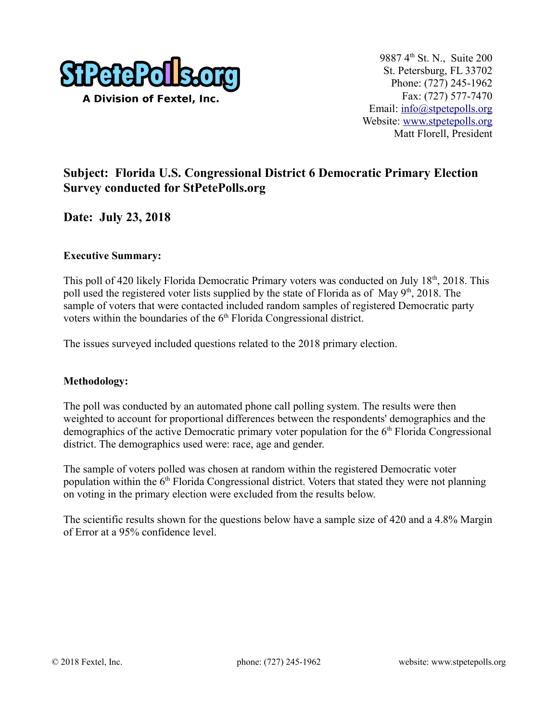

## **Subject: Florida U.S. Congressional District 6 Democratic Primary Election Survey conducted for StPetePolls.org**

**Date: July 23, 2018**

#### **Executive Summary:**

This poll of 420 likely Florida Democratic Primary voters was conducted on July 18<sup>th</sup>, 2018. This poll used the registered voter lists supplied by the state of Florida as of May  $9<sup>th</sup>$ , 2018. The sample of voters that were contacted included random samples of registered Democratic party voters within the boundaries of the  $6<sup>th</sup>$  Florida Congressional district.

The issues surveyed included questions related to the 2018 primary election.

#### **Methodology:**

The poll was conducted by an automated phone call polling system. The results were then weighted to account for proportional differences between the respondents' demographics and the demographics of the active Democratic primary voter population for the  $6<sup>th</sup>$  Florida Congressional district. The demographics used were: race, age and gender.

The sample of voters polled was chosen at random within the registered Democratic voter population within the  $6<sup>th</sup>$  Florida Congressional district. Voters that stated they were not planning on voting in the primary election were excluded from the results below.

The scientific results shown for the questions below have a sample size of 420 and a 4.8% Margin of Error at a 95% confidence level.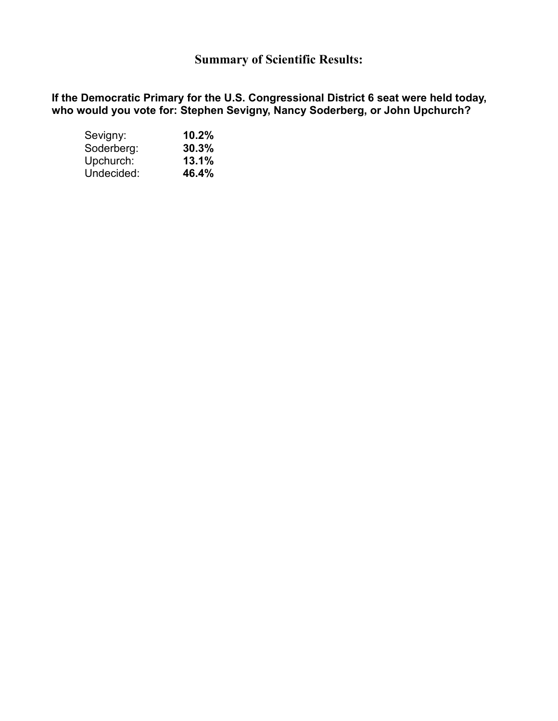# **Summary of Scientific Results:**

**If the Democratic Primary for the U.S. Congressional District 6 seat were held today, who would you vote for: Stephen Sevigny, Nancy Soderberg, or John Upchurch?** 

| Sevigny:   | 10.2% |  |  |
|------------|-------|--|--|
| Soderberg: | 30.3% |  |  |
| Upchurch:  | 13.1% |  |  |
| Undecided: | 46.4% |  |  |